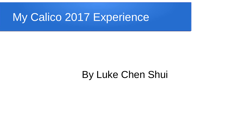#### My Calico 2017 Experience

#### By Luke Chen Shui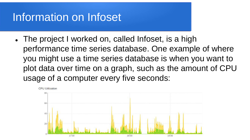#### Information on Infoset

• The project I worked on, called Infoset, is a high performance time series database. One example of where you might use a time series database is when you want to plot data over time on a graph, such as the amount of CPU usage of a computer every five seconds:

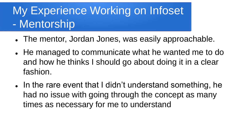# My Experience Working on Infoset - Mentorship

- The mentor, Jordan Jones, was easily approachable.
- He managed to communicate what he wanted me to do and how he thinks I should go about doing it in a clear fashion.
- In the rare event that I didn't understand something, he had no issue with going through the concept as many times as necessary for me to understand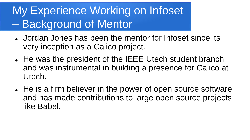### My Experience Working on Infoset – Background of Mentor

- Jordan Jones has been the mentor for Infoset since its very inception as a Calico project.
- He was the president of the IEEE Utech student branch and was instrumental in building a presence for Calico at Utech.
- He is a firm believer in the power of open source software and has made contributions to large open source projects like Babel.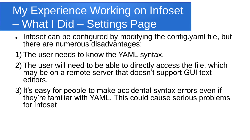# My Experience Working on Infoset – What I Did – Settings Page

- Infoset can be configured by modifying the config.yaml file, but there are numerous disadvantages:
- 1) The user needs to know the YAML syntax.
- 2) The user will need to be able to directly access the file, which may be on a remote server that doesn't support GUI text editors.
- 3) It's easy for people to make accidental syntax errors even if they're familiar with YAML. This could cause serious problems for Infoset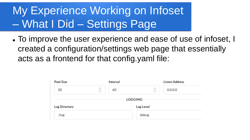# My Experience Working on Infoset – What I Did – Settings Page

 To improve the user experience and ease of use of infoset, I created a configuration/settings web page that essentially acts as a frontend for that config.yaml file:

| <b>Pool Size</b>     |               | Interval |                | <b>Listen Address</b> |  |
|----------------------|---------------|----------|----------------|-----------------------|--|
| 20                   | $\hat{\cdot}$ | 60       | $\hat{\cdot}$  | 0.0.0.0               |  |
|                      |               |          | <b>LOGGING</b> |                       |  |
| <b>Log Directory</b> |               |          | Log Level      |                       |  |
| $\sqrt{\log x}$      |               |          | debug          |                       |  |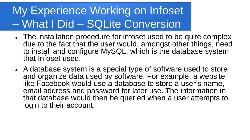# My Experience Working on Infoset – What I Did – SQLite Conversion

- The installation procedure for infoset used to be quite complex due to the fact that the user would, amongst other things, need to install and configure MySQL, which is the database system that Infoset used.
- A database system is a special type of software used to store and organize data used by software. For example, a website like Facebook would use a database to store a user's name, email address and password for later use. The information in that database would then be queried when a user attempts to login to their account.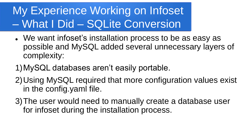# My Experience Working on Infoset – What I Did – SQLite Conversion

- We want infoset's installation process to be as easy as possible and MySQL added several unnecessary layers of complexity:
- 1)MySQL databases aren't easily portable.
- 2)Using MySQL required that more configuration values exist in the config.yaml file.
- 3)The user would need to manually create a database user for infoset during the installation process.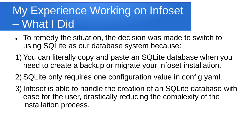# My Experience Working on Infoset – What I Did

- To remedy the situation, the decision was made to switch to using SQLite as our database system because:
- 1) You can literally copy and paste an SQLite database when you need to create a backup or migrate your infoset installation.
- 2) SQLite only requires one configuration value in config.yaml.
- 3) Infoset is able to handle the creation of an SQLite database with ease for the user, drastically reducing the complexity of the installation process.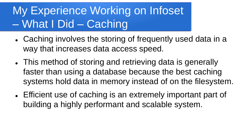# My Experience Working on Infoset – What I Did – Caching

- Caching involves the storing of frequently used data in a way that increases data access speed.
- This method of storing and retrieving data is generally faster than using a database because the best caching systems hold data in memory instead of on the filesystem.
- Efficient use of caching is an extremely important part of building a highly performant and scalable system.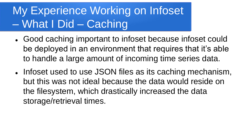# My Experience Working on Infoset – What I Did – Caching

- Good caching important to infoset because infoset could be deployed in an environment that requires that it's able to handle a large amount of incoming time series data.
- Infoset used to use JSON files as its caching mechanism, but this was not ideal because the data would reside on the filesystem, which drastically increased the data storage/retrieval times.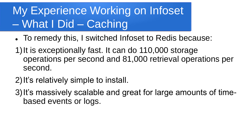# My Experience Working on Infoset – What I Did – Caching

- To remedy this, I switched Infoset to Redis because:
- 1)It is exceptionally fast. It can do 110,000 storage operations per second and 81,000 retrieval operations per second.
- 2)It's relatively simple to install.
- 3) It's massively scalable and great for large amounts of timebased events or logs.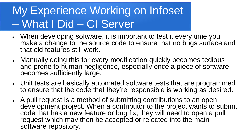- When developing software, it is important to test it every time you make a change to the source code to ensure that no bugs surface and that old features still work.
- Manually doing this for every modification quickly becomes tedious and prone to human negligence, especially once a piece of software becomes sufficiently large.
- Unit tests are basically automated software tests that are programmed to ensure that the code that they're responsible is working as desired.
- A pull request is a method of submitting contributions to an open development project. When a contributor to the project wants to submit code that has a new feature or bug fix, they will need to open a pull request which may then be accepted or rejected into the main software repository.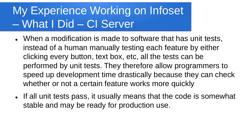- When a modification is made to software that has unit tests, instead of a human manually testing each feature by either clicking every button, text box, etc, all the tests can be performed by unit tests. They therefore allow programmers to speed up development time drastically because they can check whether or not a certain feature works more quickly
- If all unit tests pass, it usually means that the code is somewhat stable and may be ready for production use.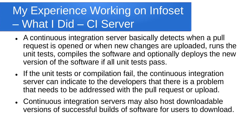- A continuous integration server basically detects when a pull request is opened or when new changes are uploaded, runs the unit tests, compiles the software and optionally deploys the new version of the software if all unit tests pass.
- If the unit tests or compilation fail, the continuous integration server can indicate to the developers that there is a problem that needs to be addressed with the pull request or upload.
- Continuous integration servers may also host downloadable versions of successful builds of software for users to download.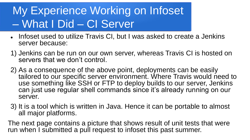- Infoset used to utilize Travis CI, but I was asked to create a Jenkins server because:
- 1) Jenkins can be run on our own server, whereas Travis CI is hosted on servers that we don't control.
- 2) As a consequence of the above point, deployments can be easily tailored to our specific server environment. Where Travis would need to use something like SSH or FTP to deploy builds to our server, Jenkins can just use regular shell commands since it's already running on our server.
- 3) It is a tool which is written in Java. Hence it can be portable to almost all major platforms.

The next page contains a picture that shows result of unit tests that were run when I submitted a pull request to infoset this past summer.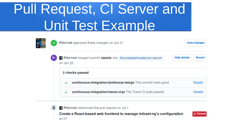# Pull Request, CI Server and Unit Test Example

|  | ✓ | Pr0x1m4 approved these changes on Jun 21                                           | <b>View changes</b>                  |  |  |  |  |
|--|---|------------------------------------------------------------------------------------|--------------------------------------|--|--|--|--|
|  | ∼ | <b>Proxim4</b> merged commit 3db029c into PalisadoesFoundation:master<br>on Jun 22 | <b>Hide details</b><br><b>Revert</b> |  |  |  |  |
|  |   | 2 checks passed                                                                    |                                      |  |  |  |  |
|  |   | continuous-integration/jenkins/pr-merge This commit looks good                     | Details                              |  |  |  |  |
|  |   | continuous-integration/travis-ci/pr The Travis CI build passed                     | <b>Details</b>                       |  |  |  |  |

**Prox1m4** referenced this pull request on Jul 1

新

Create a React-based web frontend to manage infoset-ng's configuration #127